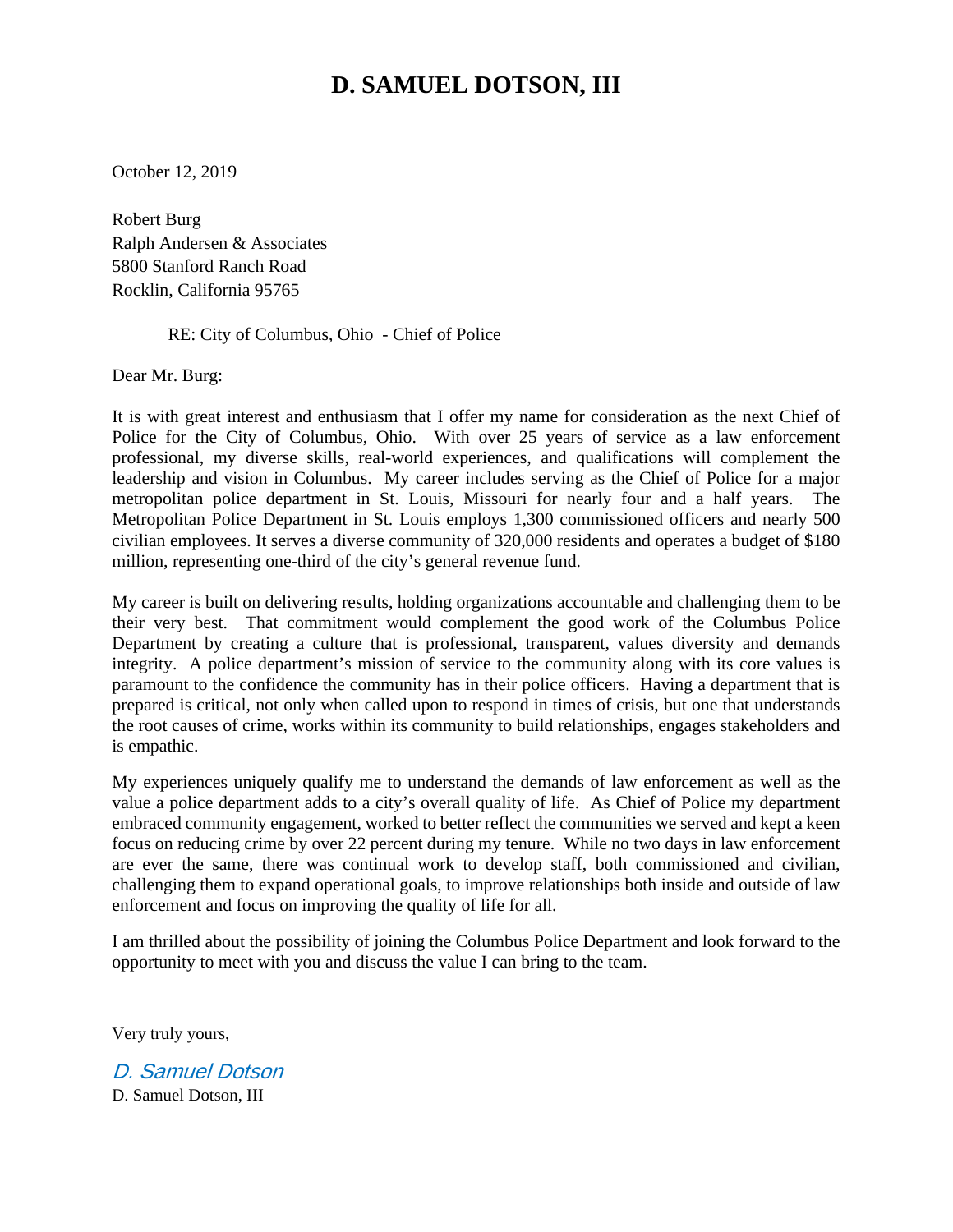# **D. SAMUEL DOTSON, III**

October 12, 2019

Robert Burg Ralph Andersen & Associates 5800 Stanford Ranch Road Rocklin, California 95765

RE: City of Columbus, Ohio - Chief of Police

Dear Mr. Burg:

It is with great interest and enthusiasm that I offer my name for consideration as the next Chief of Police for the City of Columbus, Ohio. With over 25 years of service as a law enforcement professional, my diverse skills, real-world experiences, and qualifications will complement the leadership and vision in Columbus. My career includes serving as the Chief of Police for a major metropolitan police department in St. Louis, Missouri for nearly four and a half years. The Metropolitan Police Department in St. Louis employs 1,300 commissioned officers and nearly 500 civilian employees. It serves a diverse community of 320,000 residents and operates a budget of \$180 million, representing one-third of the city's general revenue fund.

My career is built on delivering results, holding organizations accountable and challenging them to be their very best. That commitment would complement the good work of the Columbus Police Department by creating a culture that is professional, transparent, values diversity and demands integrity. A police department's mission of service to the community along with its core values is paramount to the confidence the community has in their police officers. Having a department that is prepared is critical, not only when called upon to respond in times of crisis, but one that understands the root causes of crime, works within its community to build relationships, engages stakeholders and is empathic.

My experiences uniquely qualify me to understand the demands of law enforcement as well as the value a police department adds to a city's overall quality of life. As Chief of Police my department embraced community engagement, worked to better reflect the communities we served and kept a keen focus on reducing crime by over 22 percent during my tenure. While no two days in law enforcement are ever the same, there was continual work to develop staff, both commissioned and civilian, challenging them to expand operational goals, to improve relationships both inside and outside of law enforcement and focus on improving the quality of life for all.

I am thrilled about the possibility of joining the Columbus Police Department and look forward to the opportunity to meet with you and discuss the value I can bring to the team.

Very truly yours,

D. Samuel Dotson D. Samuel Dotson, III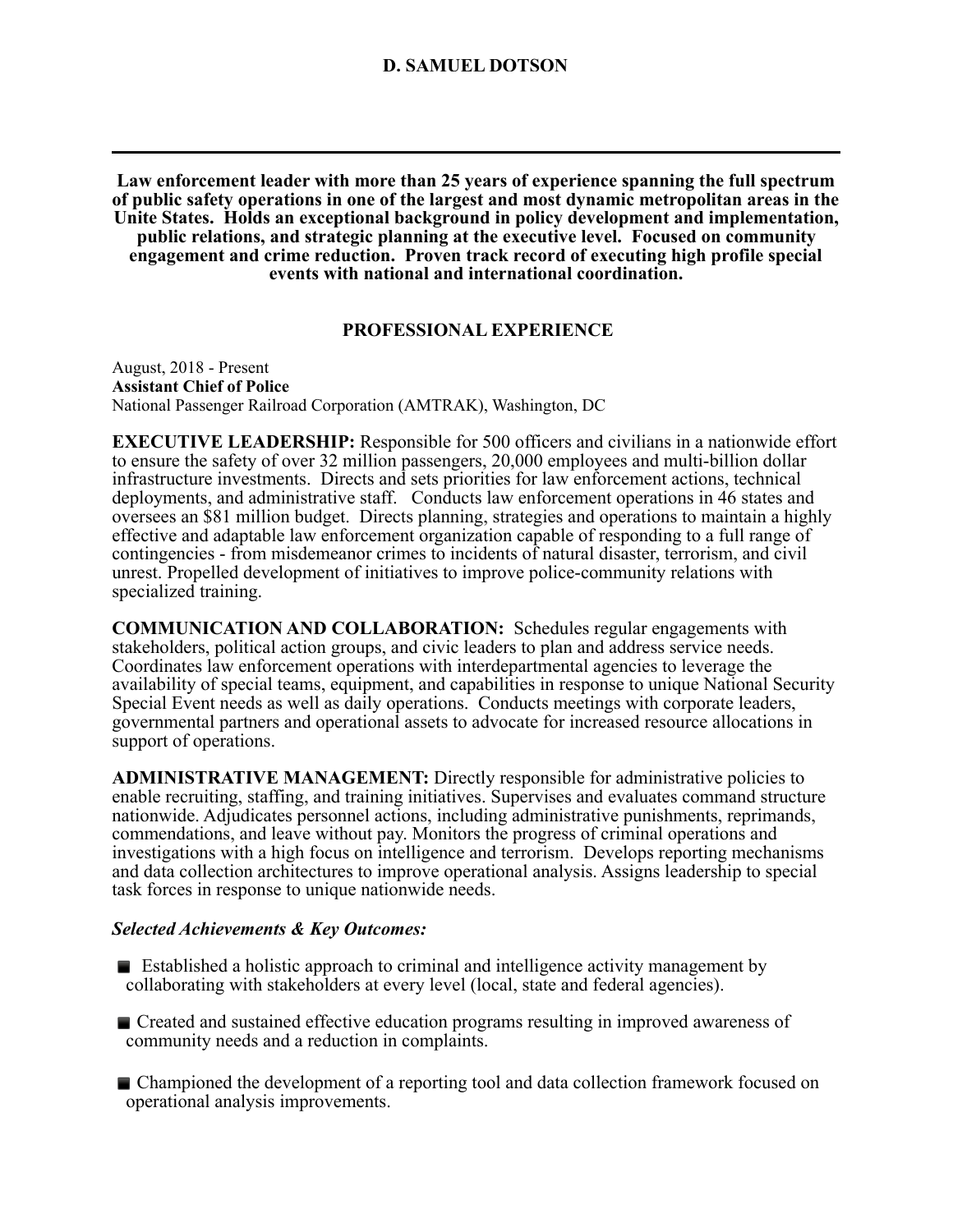**Law enforcement leader with more than 25 years of experience spanning the full spectrum of public safety operations in one of the largest and most dynamic metropolitan areas in the Unite States. Holds an exceptional background in policy development and implementation, public relations, and strategic planning at the executive level. Focused on community engagement and crime reduction. Proven track record of executing high profile special events with national and international coordination.** 

# **PROFESSIONAL EXPERIENCE**

August, 2018 - Present **Assistant Chief of Police**  National Passenger Railroad Corporation (AMTRAK), Washington, DC

**EXECUTIVE LEADERSHIP:** Responsible for 500 officers and civilians in a nationwide effort to ensure the safety of over 32 million passengers, 20,000 employees and multi-billion dollar infrastructure investments. Directs and sets priorities for law enforcement actions, technical deployments, and administrative staff. Conducts law enforcement operations in 46 states and oversees an \$81 million budget. Directs planning, strategies and operations to maintain a highly effective and adaptable law enforcement organization capable of responding to a full range of contingencies - from misdemeanor crimes to incidents of natural disaster, terrorism, and civil unrest. Propelled development of initiatives to improve police-community relations with specialized training.

**COMMUNICATION AND COLLABORATION:** Schedules regular engagements with stakeholders, political action groups, and civic leaders to plan and address service needs. Coordinates law enforcement operations with interdepartmental agencies to leverage the availability of special teams, equipment, and capabilities in response to unique National Security Special Event needs as well as daily operations. Conducts meetings with corporate leaders, governmental partners and operational assets to advocate for increased resource allocations in support of operations.

**ADMINISTRATIVE MANAGEMENT:** Directly responsible for administrative policies to enable recruiting, staffing, and training initiatives. Supervises and evaluates command structure nationwide. Adjudicates personnel actions, including administrative punishments, reprimands, commendations, and leave without pay. Monitors the progress of criminal operations and investigations with a high focus on intelligence and terrorism. Develops reporting mechanisms and data collection architectures to improve operational analysis. Assigns leadership to special task forces in response to unique nationwide needs.

# *Selected Achievements & Key Outcomes:*

- $\blacksquare$  Established a holistic approach to criminal and intelligence activity management by collaborating with stakeholders at every level (local, state and federal agencies).
- **Exercise Created and sustained effective education programs resulting in improved awareness of** community needs and a reduction in complaints.
- **E** Championed the development of a reporting tool and data collection framework focused on operational analysis improvements.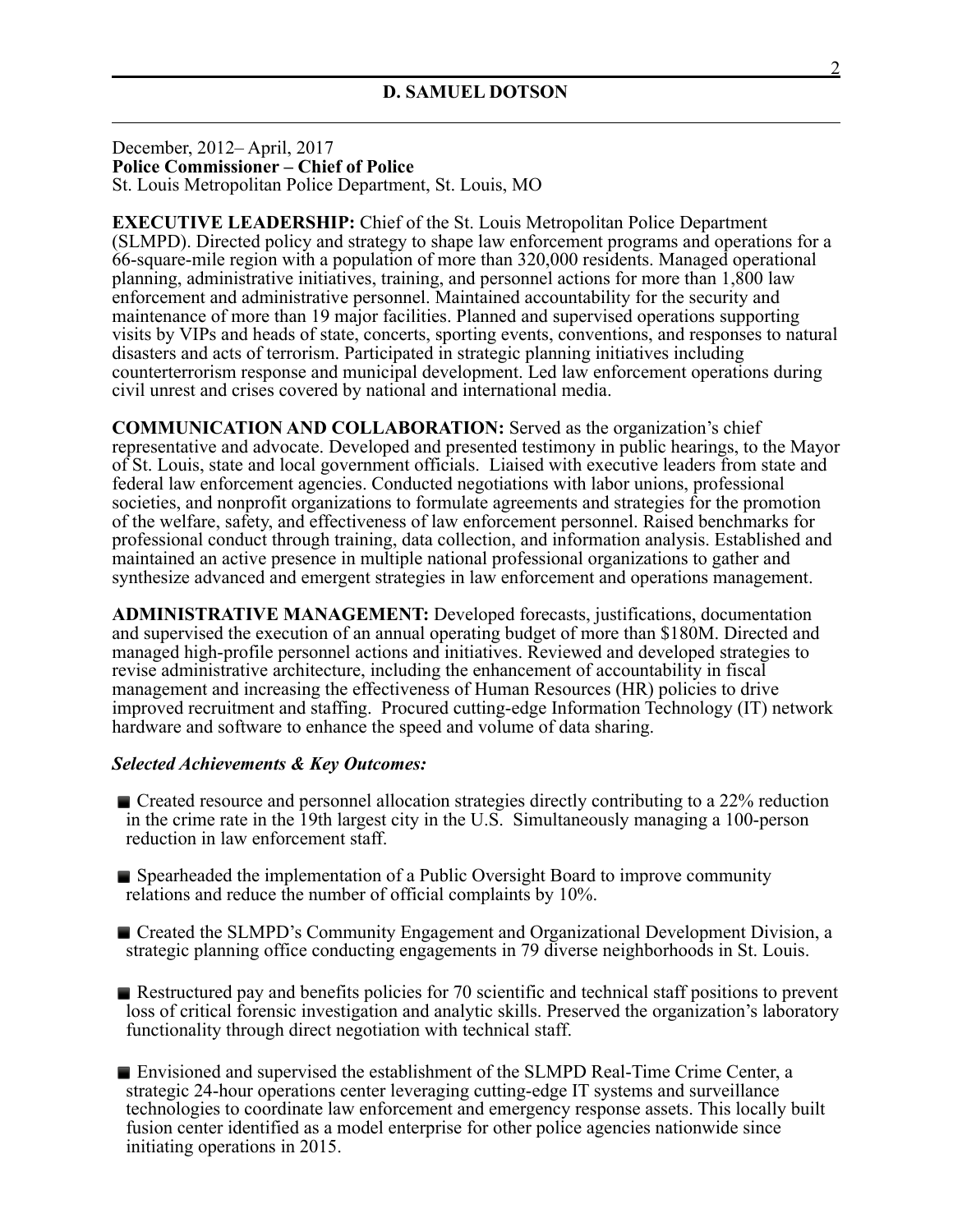December, 2012– April, 2017 **Police Commissioner – Chief of Police** St. Louis Metropolitan Police Department, St. Louis, MO

**EXECUTIVE LEADERSHIP:** Chief of the St. Louis Metropolitan Police Department (SLMPD). Directed policy and strategy to shape law enforcement programs and operations for a 66-square-mile region with a population of more than 320,000 residents. Managed operational planning, administrative initiatives, training, and personnel actions for more than 1,800 law enforcement and administrative personnel. Maintained accountability for the security and maintenance of more than 19 major facilities. Planned and supervised operations supporting visits by VIPs and heads of state, concerts, sporting events, conventions, and responses to natural disasters and acts of terrorism. Participated in strategic planning initiatives including counterterrorism response and municipal development. Led law enforcement operations during civil unrest and crises covered by national and international media.

**COMMUNICATION AND COLLABORATION:** Served as the organization's chief representative and advocate. Developed and presented testimony in public hearings, to the Mayor of St. Louis, state and local government officials. Liaised with executive leaders from state and federal law enforcement agencies. Conducted negotiations with labor unions, professional societies, and nonprofit organizations to formulate agreements and strategies for the promotion of the welfare, safety, and effectiveness of law enforcement personnel. Raised benchmarks for professional conduct through training, data collection, and information analysis. Established and maintained an active presence in multiple national professional organizations to gather and synthesize advanced and emergent strategies in law enforcement and operations management.

**ADMINISTRATIVE MANAGEMENT:** Developed forecasts, justifications, documentation and supervised the execution of an annual operating budget of more than \$180M. Directed and managed high-profile personnel actions and initiatives. Reviewed and developed strategies to revise administrative architecture, including the enhancement of accountability in fiscal management and increasing the effectiveness of Human Resources (HR) policies to drive improved recruitment and staffing. Procured cutting-edge Information Technology (IT) network hardware and software to enhance the speed and volume of data sharing.

## *Selected Achievements & Key Outcomes:*

- **E** Created resource and personnel allocation strategies directly contributing to a 22% reduction in the crime rate in the 19th largest city in the U.S. Simultaneously managing a 100-person reduction in law enforcement staff.
- **Exercise Spearheaded the implementation of a Public Oversight Board to improve community** relations and reduce the number of official complaints by 10%.
- Created the SLMPD's Community Engagement and Organizational Development Division, a strategic planning office conducting engagements in 79 diverse neighborhoods in St. Louis.
- $\blacksquare$  Restructured pay and benefits policies for 70 scientific and technical staff positions to prevent loss of critical forensic investigation and analytic skills. Preserved the organization's laboratory functionality through direct negotiation with technical staff.
- **E** Envisioned and supervised the establishment of the SLMPD Real-Time Crime Center, a strategic 24-hour operations center leveraging cutting-edge IT systems and surveillance technologies to coordinate law enforcement and emergency response assets. This locally built fusion center identified as a model enterprise for other police agencies nationwide since initiating operations in 2015.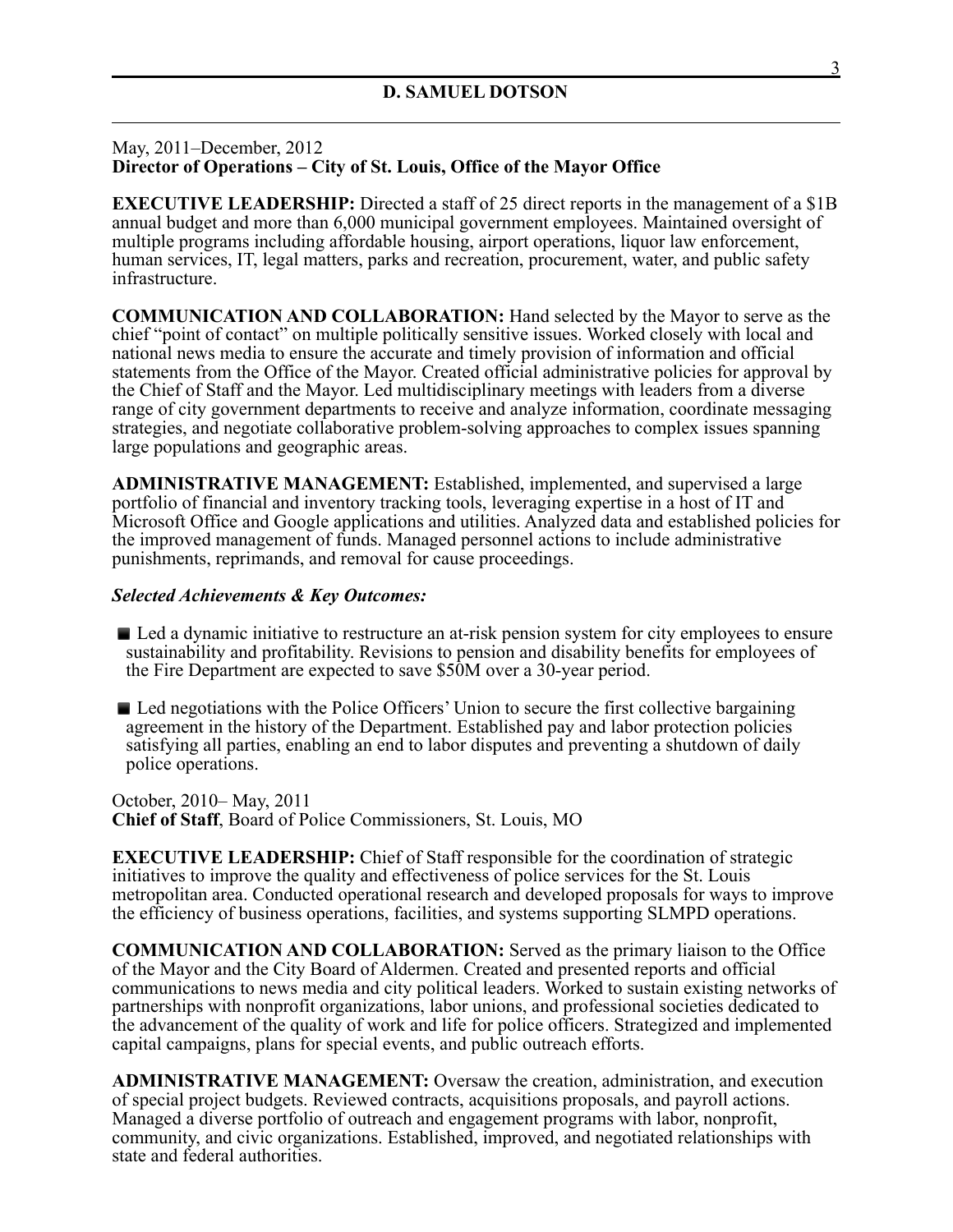# May, 2011–December, 2012 **Director of Operations – City of St. Louis, Office of the Mayor Office**

**EXECUTIVE LEADERSHIP:** Directed a staff of 25 direct reports in the management of a \$1B annual budget and more than 6,000 municipal government employees. Maintained oversight of multiple programs including affordable housing, airport operations, liquor law enforcement, human services, IT, legal matters, parks and recreation, procurement, water, and public safety infrastructure.

**COMMUNICATION AND COLLABORATION:** Hand selected by the Mayor to serve as the chief "point of contact" on multiple politically sensitive issues. Worked closely with local and national news media to ensure the accurate and timely provision of information and official statements from the Office of the Mayor. Created official administrative policies for approval by the Chief of Staff and the Mayor. Led multidisciplinary meetings with leaders from a diverse range of city government departments to receive and analyze information, coordinate messaging strategies, and negotiate collaborative problem-solving approaches to complex issues spanning large populations and geographic areas.

**ADMINISTRATIVE MANAGEMENT:** Established, implemented, and supervised a large portfolio of financial and inventory tracking tools, leveraging expertise in a host of IT and Microsoft Office and Google applications and utilities. Analyzed data and established policies for the improved management of funds. Managed personnel actions to include administrative punishments, reprimands, and removal for cause proceedings.

## *Selected Achievements & Key Outcomes:*

- Led a dynamic initiative to restructure an at-risk pension system for city employees to ensure sustainability and profitability. Revisions to pension and disability benefits for employees of the Fire Department are expected to save \$50M over a 30-year period.
- Led negotiations with the Police Officers' Union to secure the first collective bargaining agreement in the history of the Department. Established pay and labor protection policies satisfying all parties, enabling an end to labor disputes and preventing a shutdown of daily police operations.

October, 2010– May, 2011 **Chief of Staff**, Board of Police Commissioners, St. Louis, MO

**EXECUTIVE LEADERSHIP:** Chief of Staff responsible for the coordination of strategic initiatives to improve the quality and effectiveness of police services for the St. Louis metropolitan area. Conducted operational research and developed proposals for ways to improve the efficiency of business operations, facilities, and systems supporting SLMPD operations.

**COMMUNICATION AND COLLABORATION:** Served as the primary liaison to the Office of the Mayor and the City Board of Aldermen. Created and presented reports and official communications to news media and city political leaders. Worked to sustain existing networks of partnerships with nonprofit organizations, labor unions, and professional societies dedicated to the advancement of the quality of work and life for police officers. Strategized and implemented capital campaigns, plans for special events, and public outreach efforts.

**ADMINISTRATIVE MANAGEMENT:** Oversaw the creation, administration, and execution of special project budgets. Reviewed contracts, acquisitions proposals, and payroll actions. Managed a diverse portfolio of outreach and engagement programs with labor, nonprofit, community, and civic organizations. Established, improved, and negotiated relationships with state and federal authorities.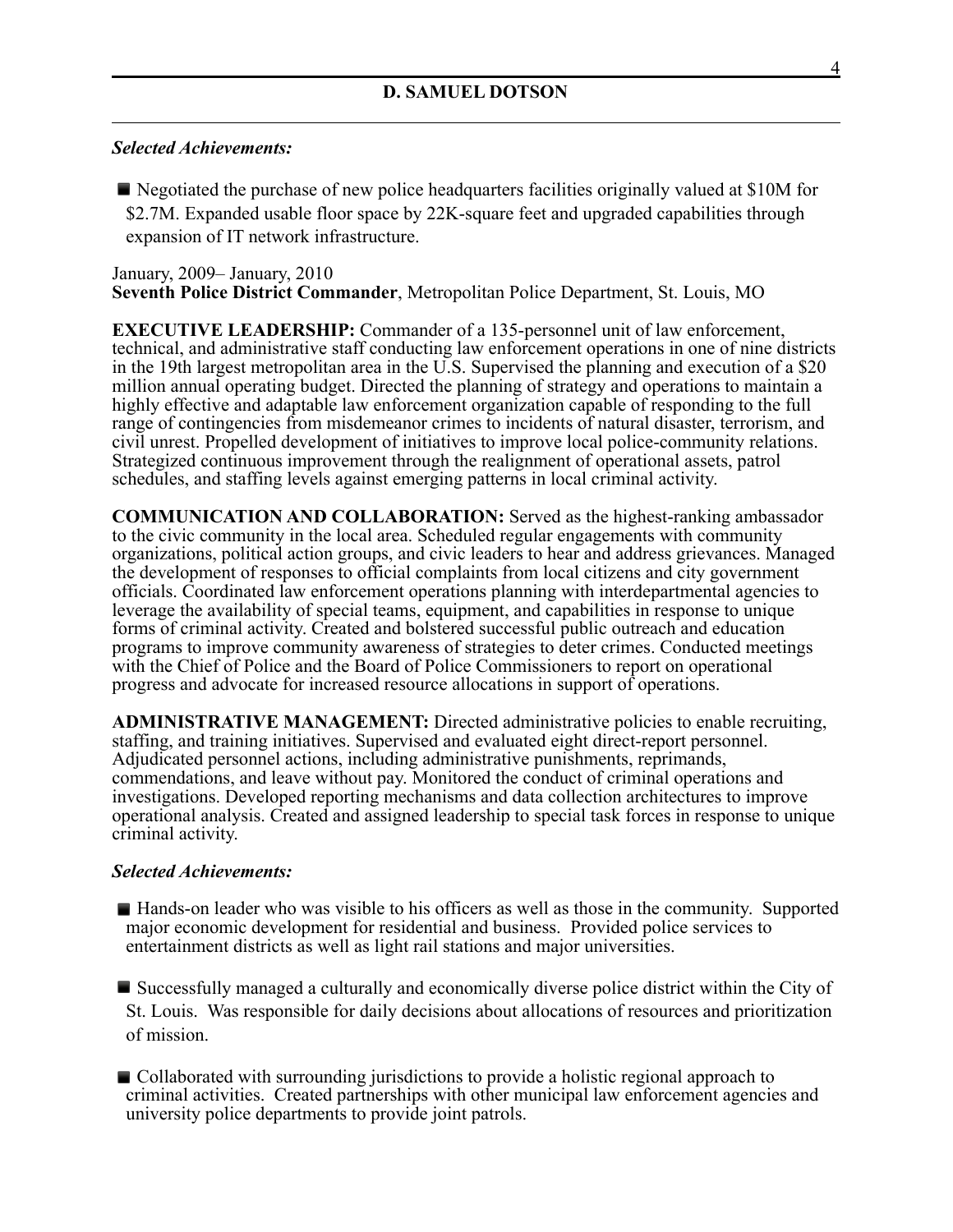## *Selected Achievements:*

**E** Negotiated the purchase of new police headquarters facilities originally valued at \$10M for \$2.7M. Expanded usable floor space by 22K-square feet and upgraded capabilities through expansion of IT network infrastructure.

## January, 2009– January, 2010 **Seventh Police District Commander**, Metropolitan Police Department, St. Louis, MO

**EXECUTIVE LEADERSHIP:** Commander of a 135-personnel unit of law enforcement, technical, and administrative staff conducting law enforcement operations in one of nine districts in the 19th largest metropolitan area in the U.S. Supervised the planning and execution of a \$20 million annual operating budget. Directed the planning of strategy and operations to maintain a highly effective and adaptable law enforcement organization capable of responding to the full range of contingencies from misdemeanor crimes to incidents of natural disaster, terrorism, and civil unrest. Propelled development of initiatives to improve local police-community relations. Strategized continuous improvement through the realignment of operational assets, patrol schedules, and staffing levels against emerging patterns in local criminal activity.

**COMMUNICATION AND COLLABORATION:** Served as the highest-ranking ambassador to the civic community in the local area. Scheduled regular engagements with community organizations, political action groups, and civic leaders to hear and address grievances. Managed the development of responses to official complaints from local citizens and city government officials. Coordinated law enforcement operations planning with interdepartmental agencies to leverage the availability of special teams, equipment, and capabilities in response to unique forms of criminal activity. Created and bolstered successful public outreach and education programs to improve community awareness of strategies to deter crimes. Conducted meetings with the Chief of Police and the Board of Police Commissioners to report on operational progress and advocate for increased resource allocations in support of operations.

**ADMINISTRATIVE MANAGEMENT:** Directed administrative policies to enable recruiting, staffing, and training initiatives. Supervised and evaluated eight direct-report personnel. Adjudicated personnel actions, including administrative punishments, reprimands, commendations, and leave without pay. Monitored the conduct of criminal operations and investigations. Developed reporting mechanisms and data collection architectures to improve operational analysis. Created and assigned leadership to special task forces in response to unique criminal activity.

## *Selected Achievements:*

■ Hands-on leader who was visible to his officers as well as those in the community. Supported major economic development for residential and business. Provided police services to entertainment districts as well as light rail stations and major universities.

■ Successfully managed a culturally and economically diverse police district within the City of St. Louis. Was responsible for daily decisions about allocations of resources and prioritization of mission.

■ Collaborated with surrounding jurisdictions to provide a holistic regional approach to criminal activities. Created partnerships with other municipal law enforcement agencies and university police departments to provide joint patrols.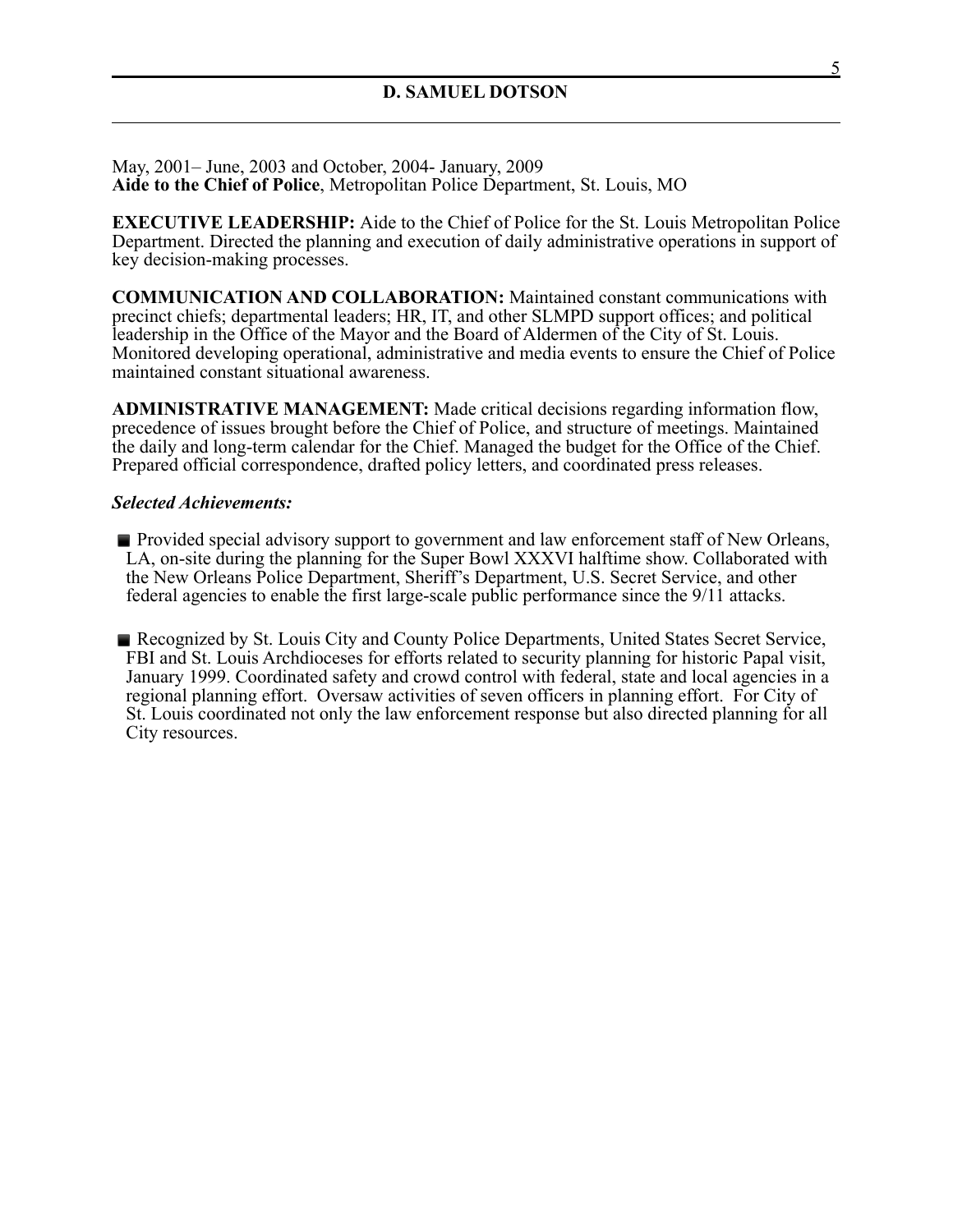May, 2001– June, 2003 and October, 2004- January, 2009 **Aide to the Chief of Police**, Metropolitan Police Department, St. Louis, MO

**EXECUTIVE LEADERSHIP:** Aide to the Chief of Police for the St. Louis Metropolitan Police Department. Directed the planning and execution of daily administrative operations in support of key decision-making processes.

**COMMUNICATION AND COLLABORATION:** Maintained constant communications with precinct chiefs; departmental leaders; HR, IT, and other SLMPD support offices; and political leadership in the Office of the Mayor and the Board of Aldermen of the City of St. Louis. Monitored developing operational, administrative and media events to ensure the Chief of Police maintained constant situational awareness.

**ADMINISTRATIVE MANAGEMENT:** Made critical decisions regarding information flow, precedence of issues brought before the Chief of Police, and structure of meetings. Maintained the daily and long-term calendar for the Chief. Managed the budget for the Office of the Chief. Prepared official correspondence, drafted policy letters, and coordinated press releases.

#### *Selected Achievements:*

**• Provided special advisory support to government and law enforcement staff of New Orleans,** LA, on-site during the planning for the Super Bowl XXXVI halftime show. Collaborated with the New Orleans Police Department, Sheriff's Department, U.S. Secret Service, and other federal agencies to enable the first large-scale public performance since the 9/11 attacks.

**Exercise Recognized by St. Louis City and County Police Departments, United States Secret Service,** FBI and St. Louis Archdioceses for efforts related to security planning for historic Papal visit, January 1999. Coordinated safety and crowd control with federal, state and local agencies in a regional planning effort. Oversaw activities of seven officers in planning effort. For City of St. Louis coordinated not only the law enforcement response but also directed planning for all City resources.